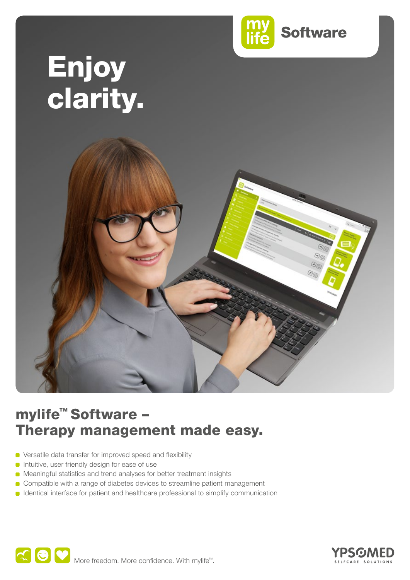

# Enjoy clarity.



# mylife™ Software – Therapy management made easy.

- Versatile data transfer for improved speed and flexibility
- **n** Intuitive, user friendly design for ease of use
- Meaningful statistics and trend analyses for better treatment insights
- Compatible with a range of diabetes devices to streamline patient management
- **ID** Identical interface for patient and healthcare professional to simplify communication



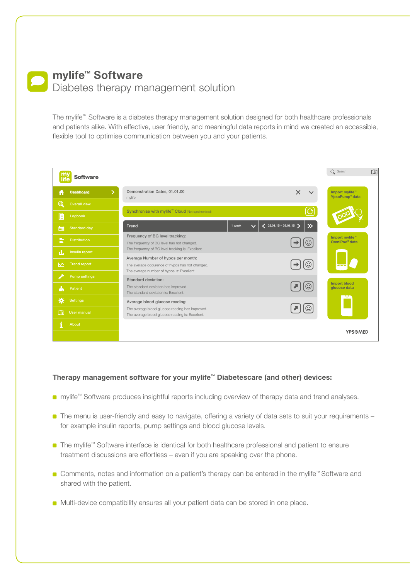## **mylife™ Software**  Diabetes therapy management solution

The mylife™ Software is a diabetes therapy management solution designed for both healthcare professionals and patients alike. With effective, user friendly, and meaningful data reports in mind we created an accessible, flexible tool to optimise communication between you and your patients.

|    | <b>Software</b>      |                                                                                                                                          | Q Search                                                 | $\Box$ |
|----|----------------------|------------------------------------------------------------------------------------------------------------------------------------------|----------------------------------------------------------|--------|
| Ħ  | <b>Dashboard</b>     | Demonstration Dates, 01.01.00<br>$\times$<br>mylife                                                                                      | Import mylife <sup>"</sup><br>YpsoPump <sup>®</sup> data |        |
| ⋒  | Overall view         |                                                                                                                                          |                                                          |        |
| B  | Logbook              | ပြ<br>Synchronise with mylife <sup>™</sup> Cloud (Not synchronised)                                                                      |                                                          |        |
| 第  | <b>Standard day</b>  | $\langle$ 02.01.15 - 08.01.15 ><br>$\gg$<br>Trend<br>$1$ week<br>$\checkmark$                                                            |                                                          |        |
| E  | <b>Distribution</b>  | Frequency of BG level tracking:<br>$\odot$<br>The frequency of BG level has not changed.                                                 | Import mylife"<br>OmniPod <sup>®</sup> data              |        |
| 린. | Insulin report       | The frequency of BG level tracking is: Excellent.                                                                                        |                                                          |        |
| ↜  | <b>Trend report</b>  | Average Number of hypos per month:<br>☺<br>The average occurence of hypos has not changed.<br>The average number of hypos is: Excellent. |                                                          |        |
|    | <b>Pump settings</b> | Standard deviation:                                                                                                                      | <b>Import blood</b>                                      |        |
| ò  | Patient              | $\odot$<br>The standard deviation has improved.<br>The standard deviation is: Excellent.                                                 | glucose data                                             |        |
| ö. | <b>Settings</b>      | Average blood glucose reading:                                                                                                           |                                                          |        |
| 面  | User manual          | The average blood glucose reading has improved.<br>The average blood glucose reading is: Excellent.                                      |                                                          |        |
|    | About                |                                                                                                                                          |                                                          |        |
|    |                      |                                                                                                                                          | <b>YPSOMED</b>                                           |        |

#### **Therapy management software for your mylife™ Diabetescare (and other) devices:**

- mylife<sup>™</sup> Software produces insightful reports including overview of therapy data and trend analyses.
- The menu is user-friendly and easy to navigate, offering a variety of data sets to suit your requirements for example insulin reports, pump settings and blood glucose levels.
- The mylife™ Software interface is identical for both healthcare professional and patient to ensure treatment discussions are effortless – even if you are speaking over the phone.
- Comments, notes and information on a patient's therapy can be entered in the mylife™ Software and shared with the patient.
- **Multi-device compatibility ensures all your patient data can be stored in one place.**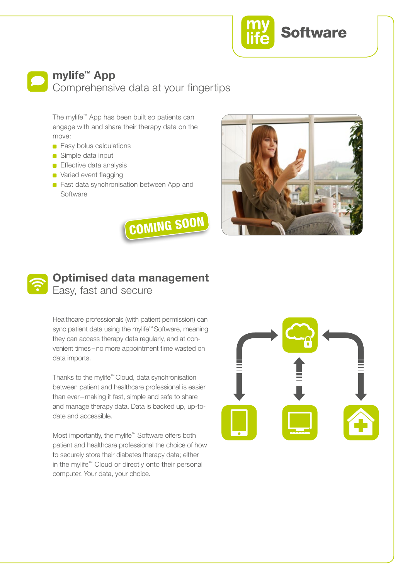

## **mylife™ App** Comprehensive data at your fingertips

The mylife™ App has been built so patients can engage with and share their therapy data on the move:

- **Easy bolus calculations**
- Simple data input
- **Effective data analysis**
- **Varied event flagging**
- **Fast data synchronisation between App and** Software







# **Optimised data management** Easy, fast and secure

Healthcare professionals (with patient permission) can sync patient data using the mylife™ Software, meaning they can access therapy data regularly, and at convenient times – no more appointment time wasted on data imports.

Thanks to the mylife™ Cloud, data synchronisation between patient and healthcare professional is easier than ever– making it fast, simple and safe to share and manage therapy data. Data is backed up, up-todate and accessible.

Most importantly, the mylife™ Software offers both patient and healthcare professional the choice of how to securely store their diabetes therapy data; either in the mylife™ Cloud or directly onto their personal computer. Your data, your choice.

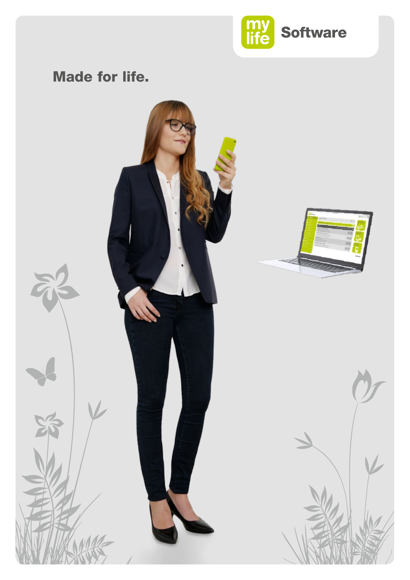

# Made for life.

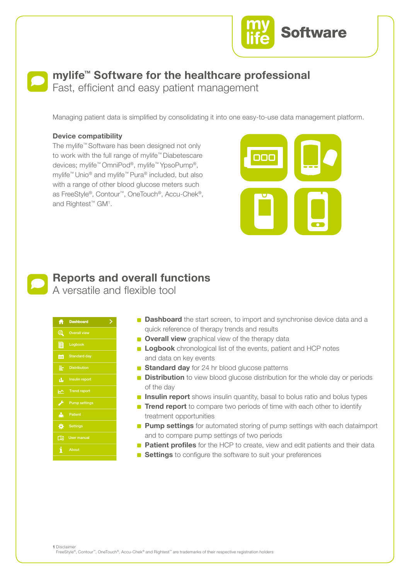

# **mylife™ Software for the healthcare professional**

Fast, efficient and easy patient management

Managing patient data is simplified by consolidating it into one easy-to-use data management platform.

#### **Device compatibility**

The mylife™ Software has been designed not only to work with the full range of mylife™ Diabetescare devices; mylife™ OmniPod®, mylife™ YpsoPump®, mylife™ Unio® and mylife™ Pura® included, but also with a range of other blood glucose meters such as FreeStyle®, Contour™, OneTouch®, Accu-Chek®, and Rightest™ GM1 .





# **Reports and overall functions**

A versatile and flexible tool

| A  | <b>Dashboard</b>      |  |
|----|-----------------------|--|
| ⋒  | <b>Overall view</b>   |  |
| E  | Logbook               |  |
| 鼬  | <b>Standard day</b>   |  |
| 亖  | <b>Distribution</b>   |  |
| д, | <b>Insulin report</b> |  |
| ↜  | <b>Trend report</b>   |  |
| ╱  | <b>Pump settings</b>  |  |
| ò  | <b>Patient</b>        |  |
| ₩  | <b>Settings</b>       |  |
| ĽN | <b>User manual</b>    |  |
| i  | About                 |  |

- **Dashboard** the start screen, to import and synchronise device data and a quick reference of therapy trends and results
- **Overall view** graphical view of the therapy data
	- **Logbook** chronological list of the events, patient and HCP notes and data on key events
- **Standard day** for 24 hr blood glucose patterns **The frequency of a**GS level in the same of the BG level in the SGS level in the SGS level in the SGS level in the SGS level in the SGS level in the SGS level in the SGS level in the SGS level in the SGS level in the SGS l
- **Distribution** to view blood glucose distribution for the whole day or periods of the day
- **Insulin report** shows insulin quantity, basal to bolus ratio and bolus types **The average number of the average number of the average number of**  $\mathbf{r}$
- **Trend report** to compare two periods of time with each other to identify treatment opportunities the during it U
- **Pump settings** for automated storing of pump settings with each dataimport and to compare pump settings of two periods
- **Patient profiles** for the HCP to create, view and edit patients and their data
	- **Settings** to configure the software to suit your preferences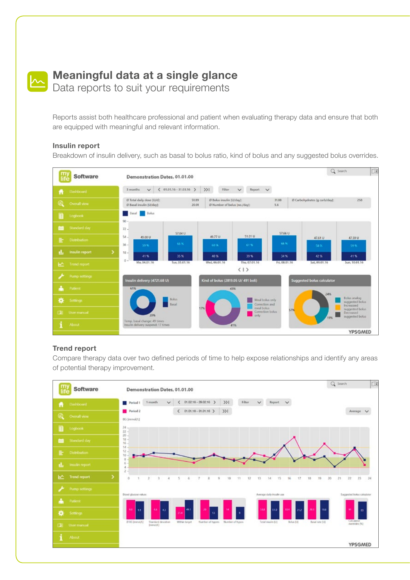

# **Meaningful data at a single glance**

Data reports to suit your requirements

Reports assist both healthcare professional and patient when evaluating therapy data and ensure that both are equipped with meaningful and relevant information.

#### **Insulin report**

Breakdown of insulin delivery, such as basal to bolus ratio, kind of bolus and any suggested bolus overrides.



#### **Trend report**

Compare therapy data over two defined periods of time to help expose relationships and identify any areas of potential therapy improvement.

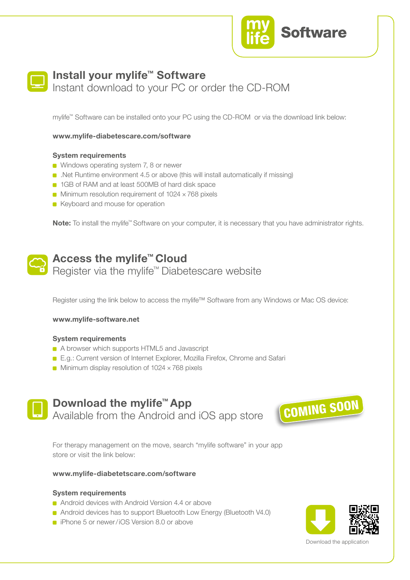



### **Install your mylife™ Software**

Instant download to your PC or order the CD-ROM

mylife™ Software can be installed onto your PC using the CD-ROM or via the download link below:

**www.mylife-diabetescare.com/software** 

#### **System requirements**

- **Windows operating system 7, 8 or newer**
- .Net Runtime environment 4.5 or above (this will install automatically if missing)
- **1GB of RAM and at least 500MB of hard disk space**
- $\blacksquare$  Minimum resolution requirement of 1024  $\times$  768 pixels
- Keyboard and mouse for operation

**Note:** To install the mylife™ Software on your computer, it is necessary that you have administrator rights.



### **Access the mylife™ Cloud** Register via the mylife™ Diabetescare website

Register using the link below to access the mylife™ Software from any Windows or Mac OS device:

#### **www.mylife-software.net**

#### **System requirements**

- A browser which supports HTML5 and Javascript
- E.g.: Current version of Internet Explorer, Mozilla Firefox, Chrome and Safari
- $\blacksquare$  Minimum display resolution of 1024  $\times$  768 pixels



## **Download the mylife™ App** Available from the Android and iOS app store



For therapy management on the move, search "mylife software" in your app store or visit the link below:

#### **www.mylife-diabetetscare.com/software**

#### **System requirements**

- Android devices with Android Version 4.4 or above
- Android devices has to support Bluetooth Low Energy (Bluetooth V4.0)
- **i** iPhone 5 or newer/iOS Version 8.0 or above



Download the application